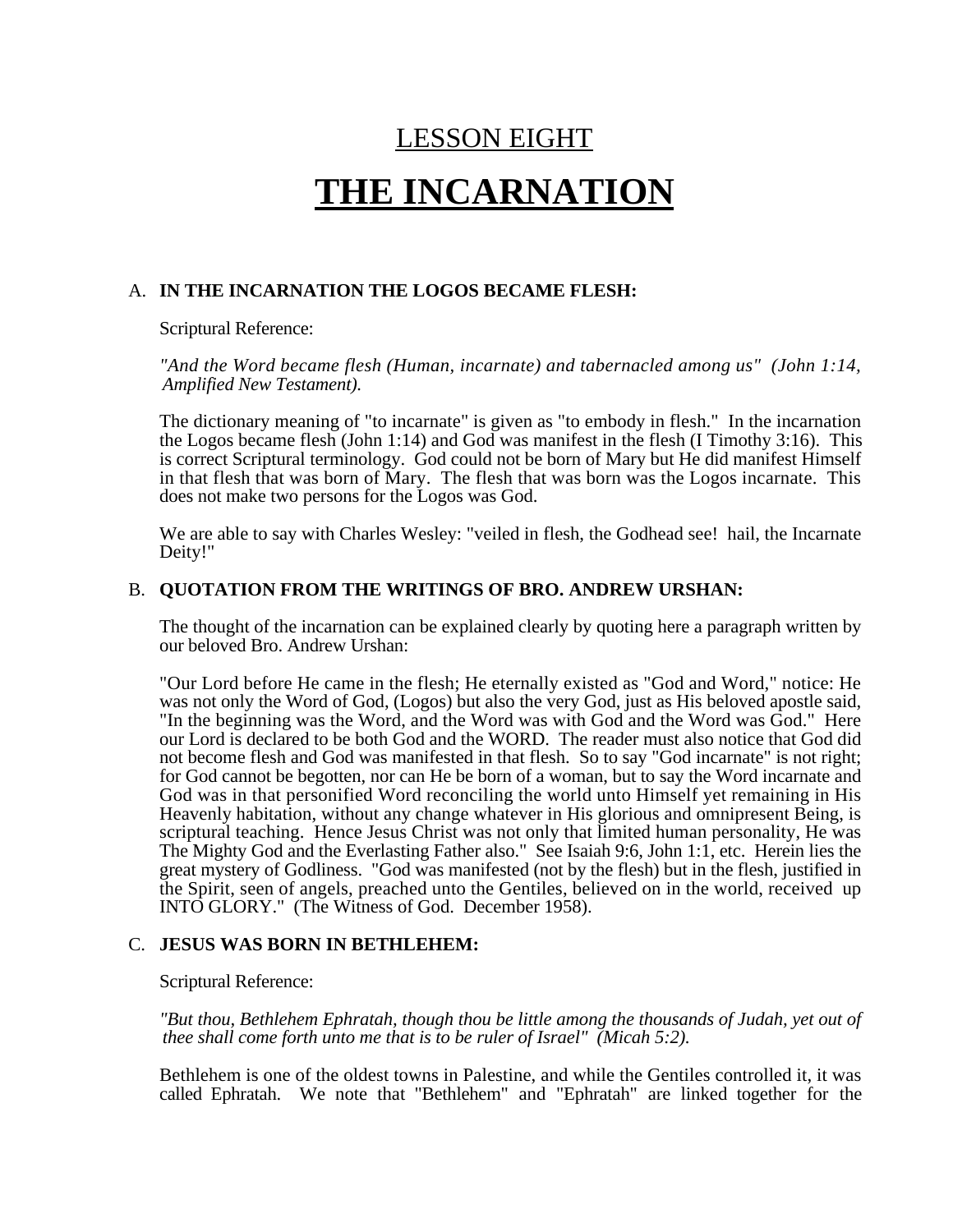## LESSON EIGHT

# **THE INCARNATION**

#### A. **IN THE INCARNATION THE LOGOS BECAME FLESH:**

Scriptural Reference:

*"And the Word became flesh (Human, incarnate) and tabernacled among us" (John 1:14, Amplified New Testament).*

The dictionary meaning of "to incarnate" is given as "to embody in flesh." In the incarnation the Logos became flesh (John 1:14) and God was manifest in the flesh (I Timothy 3:16). This is correct Scriptural terminology. God could not be born of Mary but He did manifest Himself in that flesh that was born of Mary. The flesh that was born was the Logos incarnate. This does not make two persons for the Logos was God.

We are able to say with Charles Wesley: "veiled in flesh, the Godhead see! hail, the Incarnate Deity!"

#### B. **QUOTATION FROM THE WRITINGS OF BRO. ANDREW URSHAN:**

The thought of the incarnation can be explained clearly by quoting here a paragraph written by our beloved Bro. Andrew Urshan:

"Our Lord before He came in the flesh; He eternally existed as "God and Word," notice: He was not only the Word of God, (Logos) but also the very God, just as His beloved apostle said, "In the beginning was the Word, and the Word was with God and the Word was God." Here our Lord is declared to be both God and the WORD. The reader must also notice that God did not become flesh and God was manifested in that flesh. So to say "God incarnate" is not right; for God cannot be begotten, nor can He be born of a woman, but to say the Word incarnate and God was in that personified Word reconciling the world unto Himself yet remaining in His Heavenly habitation, without any change whatever in His glorious and omnipresent Being, is scriptural teaching. Hence Jesus Christ was not only that limited human personality, He was The Mighty God and the Everlasting Father also." See Isaiah 9:6, John 1:1, etc. Herein lies the great mystery of Godliness. "God was manifested (not by the flesh) but in the flesh, justified in the Spirit, seen of angels, preached unto the Gentiles, believed on in the world, received up INTO GLORY." (The Witness of God. December 1958).

#### C. **JESUS WAS BORN IN BETHLEHEM:**

Scriptural Reference:

*"But thou, Bethlehem Ephratah, though thou be little among the thousands of Judah, yet out of thee shall come forth unto me that is to be ruler of Israel" (Micah 5:2).*

Bethlehem is one of the oldest towns in Palestine, and while the Gentiles controlled it, it was called Ephratah. We note that "Bethlehem" and "Ephratah" are linked together for the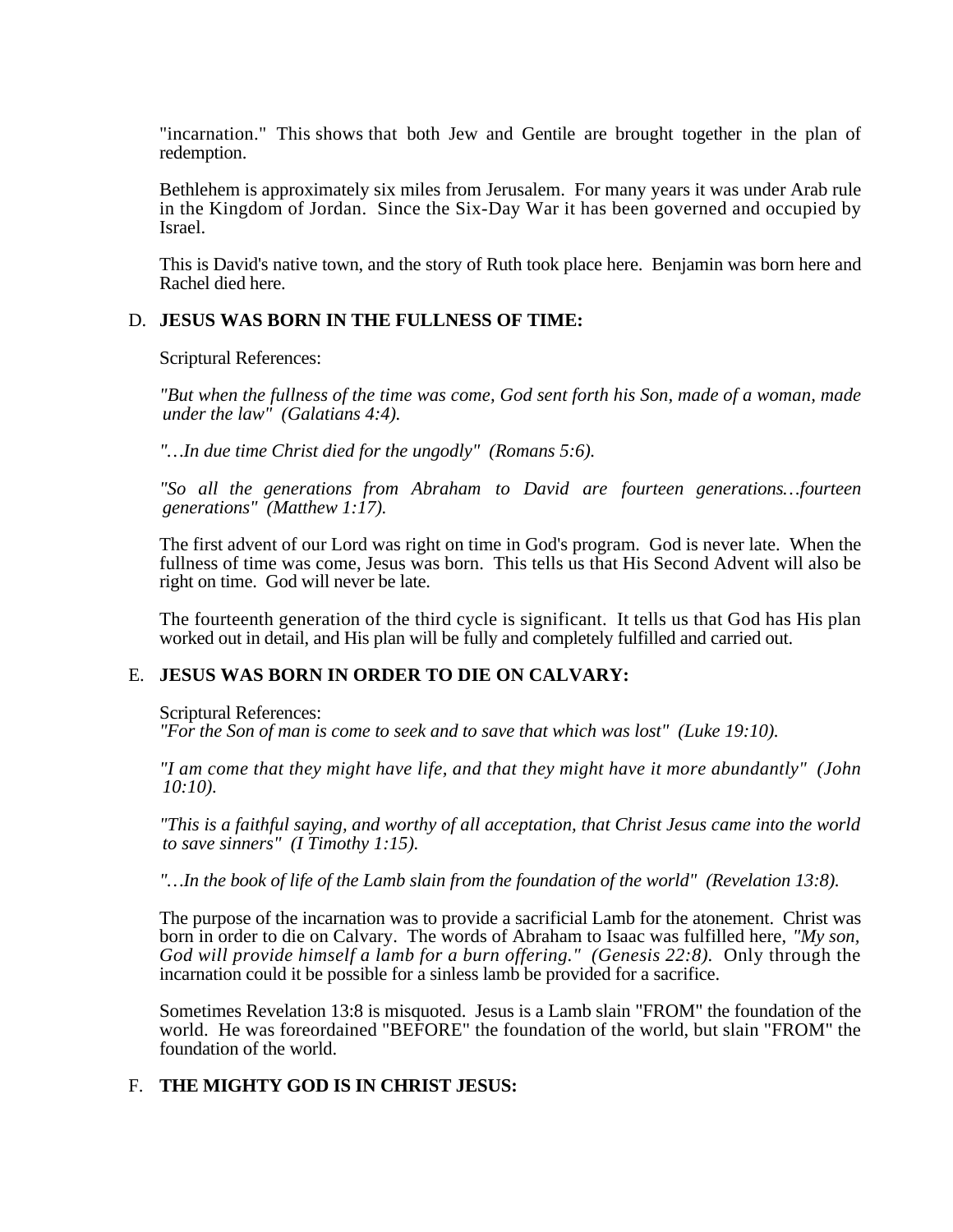"incarnation." This shows that both Jew and Gentile are brought together in the plan of redemption.

Bethlehem is approximately six miles from Jerusalem. For many years it was under Arab rule in the Kingdom of Jordan. Since the Six-Day War it has been governed and occupied by Israel.

This is David's native town, and the story of Ruth took place here. Benjamin was born here and Rachel died here.

#### D. **JESUS WAS BORN IN THE FULLNESS OF TIME:**

Scriptural References:

*"But when the fullness of the time was come, God sent forth his Son, made of a woman, made under the law" (Galatians 4:4).*

*"…In due time Christ died for the ungodly" (Romans 5:6).*

*"So all the generations from Abraham to David are fourteen generations…fourteen generations" (Matthew 1:17).*

The first advent of our Lord was right on time in God's program. God is never late. When the fullness of time was come, Jesus was born. This tells us that His Second Advent will also be right on time. God will never be late.

The fourteenth generation of the third cycle is significant. It tells us that God has His plan worked out in detail, and His plan will be fully and completely fulfilled and carried out.

#### E. **JESUS WAS BORN IN ORDER TO DIE ON CALVARY:**

Scriptural References:

*"For the Son of man is come to seek and to save that which was lost" (Luke 19:10).*

*"I am come that they might have life, and that they might have it more abundantly" (John 10:10).*

*"This is a faithful saying, and worthy of all acceptation, that Christ Jesus came into the world to save sinners" (I Timothy 1:15).*

*"…In the book of life of the Lamb slain from the foundation of the world" (Revelation 13:8).*

The purpose of the incarnation was to provide a sacrificial Lamb for the atonement. Christ was born in order to die on Calvary. The words of Abraham to Isaac was fulfilled here, *"My son, God will provide himself a lamb for a burn offering." (Genesis 22:8).* Only through the incarnation could it be possible for a sinless lamb be provided for a sacrifice.

Sometimes Revelation 13:8 is misquoted. Jesus is a Lamb slain "FROM" the foundation of the world. He was foreordained "BEFORE" the foundation of the world, but slain "FROM" the foundation of the world.

#### F. **THE MIGHTY GOD IS IN CHRIST JESUS:**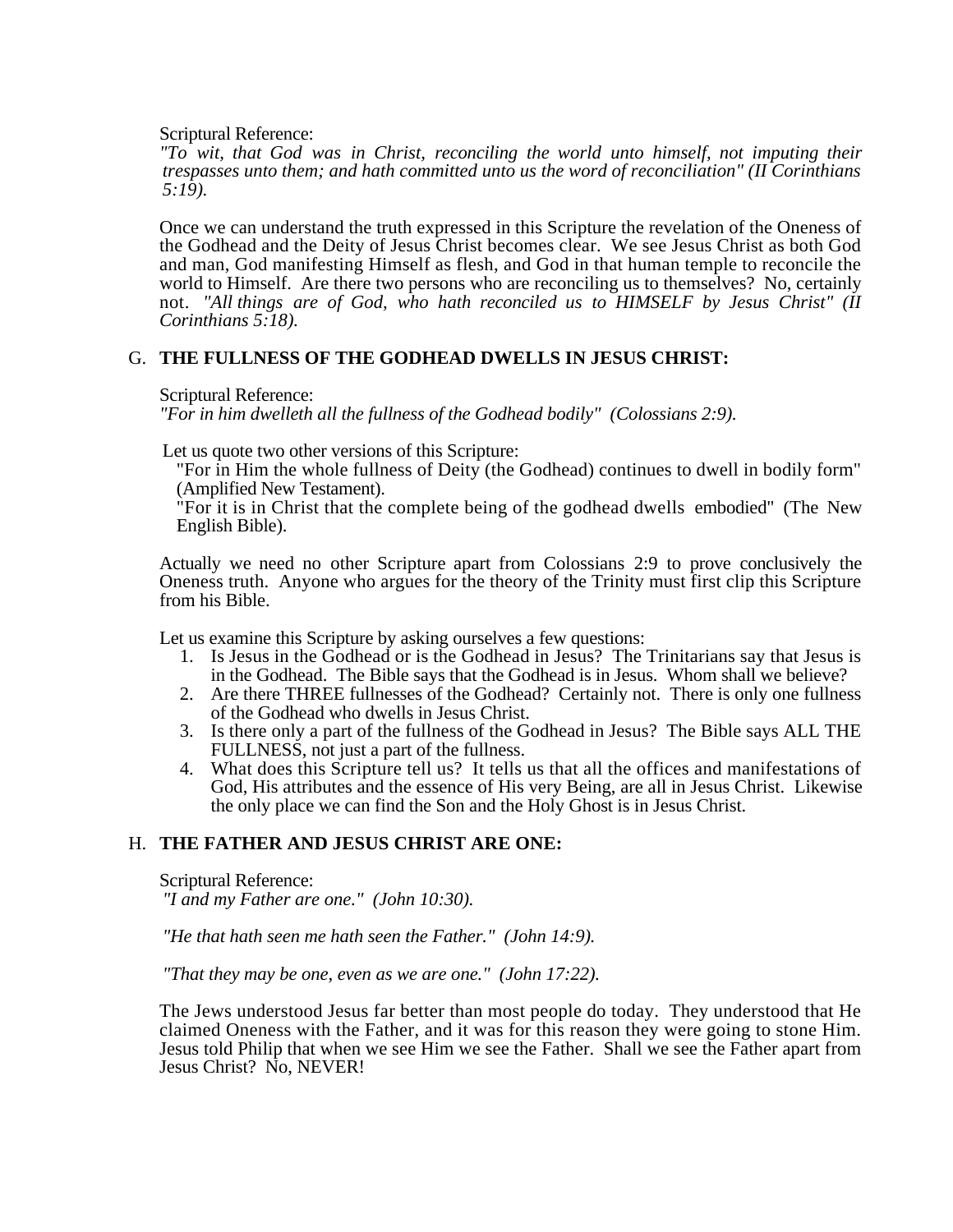Scriptural Reference:

*"To wit, that God was in Christ, reconciling the world unto himself, not imputing their trespasses unto them; and hath committed unto us the word of reconciliation" (II Corinthians 5:19).*

Once we can understand the truth expressed in this Scripture the revelation of the Oneness of the Godhead and the Deity of Jesus Christ becomes clear. We see Jesus Christ as both God and man, God manifesting Himself as flesh, and God in that human temple to reconcile the world to Himself. Are there two persons who are reconciling us to themselves? No, certainly not. *"All things are of God, who hath reconciled us to HIMSELF by Jesus Christ" (II Corinthians 5:18).*

#### G. **THE FULLNESS OF THE GODHEAD DWELLS IN JESUS CHRIST:**

Scriptural Reference:

*"For in him dwelleth all the fullness of the Godhead bodily" (Colossians 2:9).*

Let us quote two other versions of this Scripture:

"For in Him the whole fullness of Deity (the Godhead) continues to dwell in bodily form" (Amplified New Testament).

"For it is in Christ that the complete being of the godhead dwells embodied" (The New English Bible).

Actually we need no other Scripture apart from Colossians 2:9 to prove conclusively the Oneness truth. Anyone who argues for the theory of the Trinity must first clip this Scripture from his Bible.

Let us examine this Scripture by asking ourselves a few questions:

- 1. Is Jesus in the Godhead or is the Godhead in Jesus? The Trinitarians say that Jesus is in the Godhead. The Bible says that the Godhead is in Jesus. Whom shall we believe?
- 2. Are there THREE fullnesses of the Godhead? Certainly not. There is only one fullness of the Godhead who dwells in Jesus Christ.
- 3. Is there only a part of the fullness of the Godhead in Jesus? The Bible says ALL THE FULLNESS, not just a part of the fullness.
- 4. What does this Scripture tell us? It tells us that all the offices and manifestations of God, His attributes and the essence of His very Being, are all in Jesus Christ. Likewise the only place we can find the Son and the Holy Ghost is in Jesus Christ.

#### H. **THE FATHER AND JESUS CHRIST ARE ONE:**

Scriptural Reference:

*"I and my Father are one." (John 10:30).*

*"He that hath seen me hath seen the Father." (John 14:9).*

*"That they may be one, even as we are one." (John 17:22).*

The Jews understood Jesus far better than most people do today. They understood that He claimed Oneness with the Father, and it was for this reason they were going to stone Him. Jesus told Philip that when we see Him we see the Father. Shall we see the Father apart from Jesus Christ? No, NEVER!